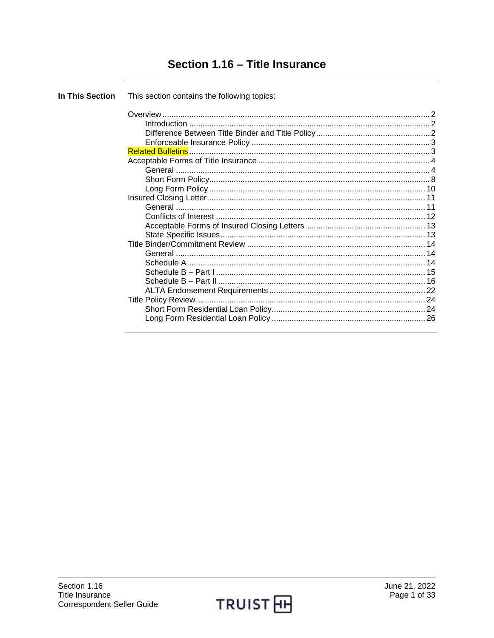# Section 1.16 - Title Insurance

**In This Section** This section contains the following topics: 

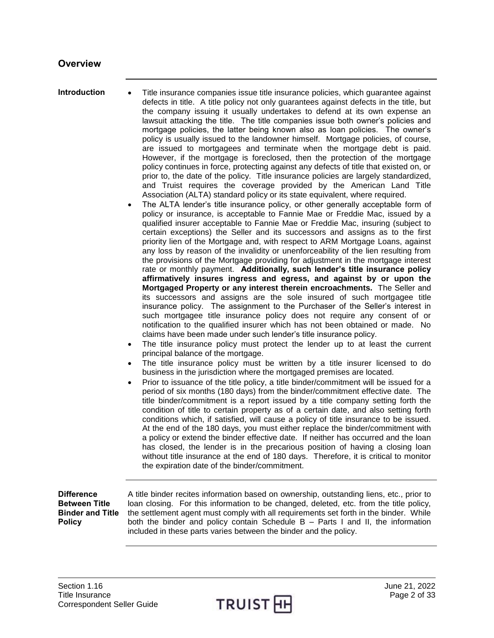<span id="page-1-0"></span>

<span id="page-1-1"></span>**Introduction** • Title insurance companies issue title insurance policies, which guarantee against defects in title. A title policy not only guarantees against defects in the title, but the company issuing it usually undertakes to defend at its own expense an lawsuit attacking the title. The title companies issue both owner's policies and mortgage policies, the latter being known also as loan policies. The owner's policy is usually issued to the landowner himself. Mortgage policies, of course, are issued to mortgagees and terminate when the mortgage debt is paid. However, if the mortgage is foreclosed, then the protection of the mortgage policy continues in force, protecting against any defects of title that existed on, or prior to, the date of the policy. Title insurance policies are largely standardized, and Truist requires the coverage provided by the American Land Title Association (ALTA) standard policy or its state equivalent, where required.

- The ALTA lender's title insurance policy, or other generally acceptable form of policy or insurance, is acceptable to Fannie Mae or Freddie Mac, issued by a qualified insurer acceptable to Fannie Mae or Freddie Mac, insuring (subject to certain exceptions) the Seller and its successors and assigns as to the first priority lien of the Mortgage and, with respect to ARM Mortgage Loans, against any loss by reason of the invalidity or unenforceability of the lien resulting from the provisions of the Mortgage providing for adjustment in the mortgage interest rate or monthly payment. **Additionally, such lender's title insurance policy affirmatively insures ingress and egress, and against by or upon the Mortgaged Property or any interest therein encroachments.** The Seller and its successors and assigns are the sole insured of such mortgagee title insurance policy. The assignment to the Purchaser of the Seller's interest in such mortgagee title insurance policy does not require any consent of or notification to the qualified insurer which has not been obtained or made. No claims have been made under such lender's title insurance policy.
- The title insurance policy must protect the lender up to at least the current principal balance of the mortgage.
- The title insurance policy must be written by a title insurer licensed to do business in the jurisdiction where the mortgaged premises are located.
- Prior to issuance of the title policy, a title binder/commitment will be issued for a period of six months (180 days) from the binder/commitment effective date. The title binder/commitment is a report issued by a title company setting forth the condition of title to certain property as of a certain date, and also setting forth conditions which, if satisfied, will cause a policy of title insurance to be issued. At the end of the 180 days, you must either replace the binder/commitment with a policy or extend the binder effective date. If neither has occurred and the loan has closed, the lender is in the precarious position of having a closing loan without title insurance at the end of 180 days. Therefore, it is critical to monitor the expiration date of the binder/commitment.

<span id="page-1-2"></span>**Difference Between Title Binder and Title Policy**

A title binder recites information based on ownership, outstanding liens, etc., prior to loan closing. For this information to be changed, deleted, etc. from the title policy, the settlement agent must comply with all requirements set forth in the binder. While both the binder and policy contain Schedule B – Parts I and II, the information included in these parts varies between the binder and the policy.

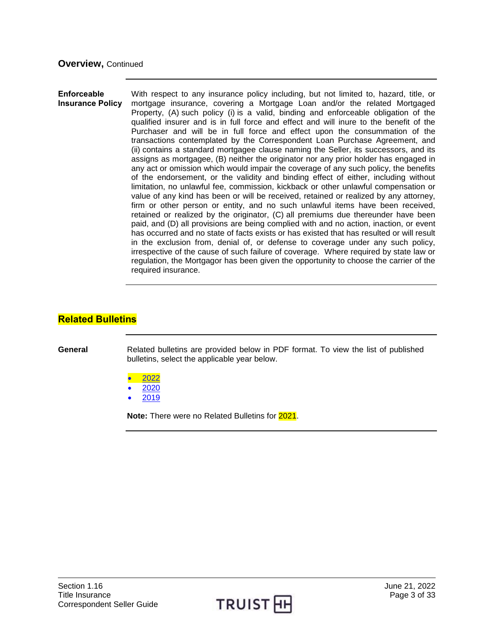#### <span id="page-2-0"></span>**Enforceable Insurance Policy** With respect to any insurance policy including, but not limited to, hazard, title, or mortgage insurance, covering a Mortgage Loan and/or the related Mortgaged Property, (A) such policy (i) is a valid, binding and enforceable obligation of the qualified insurer and is in full force and effect and will inure to the benefit of the Purchaser and will be in full force and effect upon the consummation of the transactions contemplated by the Correspondent Loan Purchase Agreement, and (ii) contains a standard mortgagee clause naming the Seller, its successors, and its assigns as mortgagee, (B) neither the originator nor any prior holder has engaged in any act or omission which would impair the coverage of any such policy, the benefits of the endorsement, or the validity and binding effect of either, including without limitation, no unlawful fee, commission, kickback or other unlawful compensation or value of any kind has been or will be received, retained or realized by any attorney, firm or other person or entity, and no such unlawful items have been received, retained or realized by the originator, (C) all premiums due thereunder have been paid, and (D) all provisions are being complied with and no action, inaction, or event has occurred and no state of facts exists or has existed that has resulted or will result in the exclusion from, denial of, or defense to coverage under any such policy, irrespective of the cause of such failure of coverage. Where required by state law or regulation, the Mortgagor has been given the opportunity to choose the carrier of the required insurance.

## <span id="page-2-1"></span>**Related Bulletins**

**General** Related bulletins are provided below in PDF format. To view the list of published bulletins, select the applicable year below.

- [2022](http://truistsellerguide.com/manual/cor/bulletins/related%20bulletins/2022/CTitleIns2022.pdf)
- [2020](http://truistsellerguide.com/manual/cor/bulletins/related%20bulletins/2020/CTitleIns2020.pdf)
- [2019](http://truistsellerguide.com/manual/cor/bulletins/related%20bulletins/2019/CTitleIns2019.pdf)

**Note:** There were no Related Bulletins for 2021.

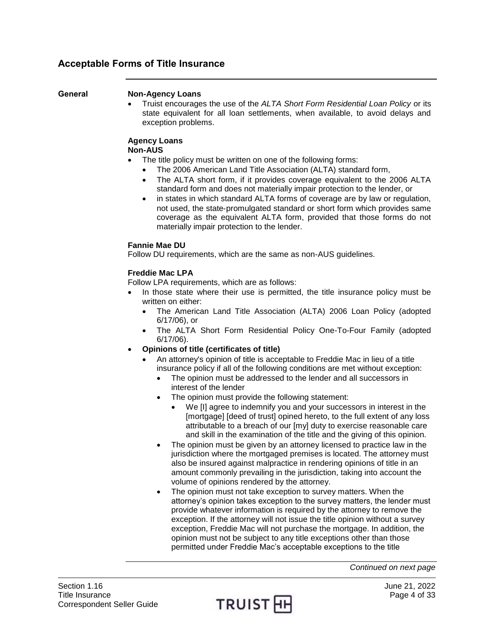## <span id="page-3-0"></span>**Acceptable Forms of Title Insurance**

#### <span id="page-3-1"></span>**General Non-Agency Loans**

 Truist encourages the use of the *ALTA Short Form Residential Loan Policy* or its state equivalent for all loan settlements, when available, to avoid delays and exception problems.

#### **Agency Loans Non-AUS**

- The title policy must be written on one of the following forms:
	- The 2006 American Land Title Association (ALTA) standard form,
	- The ALTA short form, if it provides coverage equivalent to the 2006 ALTA standard form and does not materially impair protection to the lender, or
	- in states in which standard ALTA forms of coverage are by law or regulation, not used, the state‐promulgated standard or short form which provides same coverage as the equivalent ALTA form, provided that those forms do not materially impair protection to the lender.

## **Fannie Mae DU**

Follow DU requirements, which are the same as non-AUS guidelines.

## **Freddie Mac LPA**

Follow LPA requirements, which are as follows:

- In those state where their use is permitted, the title insurance policy must be written on either:
	- The American Land Title Association (ALTA) 2006 Loan Policy (adopted 6/17/06), or
	- The ALTA Short Form Residential Policy One-To-Four Family (adopted 6/17/06).
- **Opinions of title (certificates of title)**
	- An attorney's opinion of title is acceptable to Freddie Mac in lieu of a title insurance policy if all of the following conditions are met without exception:
		- The opinion must be addressed to the lender and all successors in interest of the lender
		- The opinion must provide the following statement:
			- We [I] agree to indemnify you and your successors in interest in the [mortgage] [deed of trust] opined hereto, to the full extent of any loss attributable to a breach of our [my] duty to exercise reasonable care and skill in the examination of the title and the giving of this opinion.
		- The opinion must be given by an attorney licensed to practice law in the jurisdiction where the mortgaged premises is located. The attorney must also be insured against malpractice in rendering opinions of title in an amount commonly prevailing in the jurisdiction, taking into account the volume of opinions rendered by the attorney.
		- The opinion must not take exception to survey matters. When the attorney's opinion takes exception to the survey matters, the lender must provide whatever information is required by the attorney to remove the exception. If the attorney will not issue the title opinion without a survey exception, Freddie Mac will not purchase the mortgage. In addition, the opinion must not be subject to any title exceptions other than those permitted under Freddie Mac's acceptable exceptions to the title

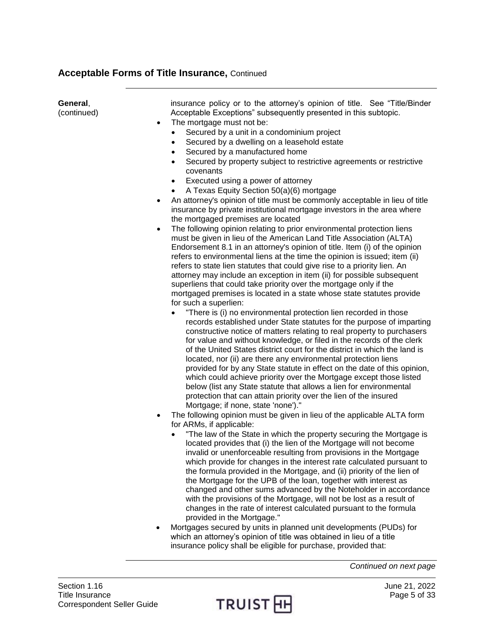| General,<br>(continued) | insurance policy or to the attorney's opinion of title. See "Title/Binder<br>Acceptable Exceptions" subsequently presented in this subtopic.<br>The mortgage must not be:<br>$\bullet$<br>Secured by a unit in a condominium project<br>$\bullet$<br>Secured by a dwelling on a leasehold estate<br>$\bullet$<br>Secured by a manufactured home<br>$\bullet$<br>Secured by property subject to restrictive agreements or restrictive<br>$\bullet$<br>covenants<br>Executed using a power of attorney<br>$\bullet$<br>A Texas Equity Section 50(a)(6) mortgage<br>$\bullet$<br>An attorney's opinion of title must be commonly acceptable in lieu of title<br>$\bullet$<br>insurance by private institutional mortgage investors in the area where<br>the mortgaged premises are located<br>The following opinion relating to prior environmental protection liens<br>must be given in lieu of the American Land Title Association (ALTA)<br>Endorsement 8.1 in an attorney's opinion of title. Item (i) of the opinion<br>refers to environmental liens at the time the opinion is issued; item (ii)<br>refers to state lien statutes that could give rise to a priority lien. An<br>attorney may include an exception in item (ii) for possible subsequent<br>superliens that could take priority over the mortgage only if the<br>mortgaged premises is located in a state whose state statutes provide<br>for such a superlien:<br>"There is (i) no environmental protection lien recorded in those<br>$\bullet$<br>records established under State statutes for the purpose of imparting<br>constructive notice of matters relating to real property to purchasers<br>for value and without knowledge, or filed in the records of the clerk<br>of the United States district court for the district in which the land is<br>located, nor (ii) are there any environmental protection liens<br>provided for by any State statute in effect on the date of this opinion,<br>which could achieve priority over the Mortgage except those listed<br>below (list any State statute that allows a lien for environmental<br>protection that can attain priority over the lien of the insured<br>Mortgage; if none, state 'none')."<br>The following opinion must be given in lieu of the applicable ALTA form<br>for ARMs, if applicable:<br>"The law of the State in which the property securing the Mortgage is<br>located provides that (i) the lien of the Mortgage will not become<br>invalid or unenforceable resulting from provisions in the Mortgage<br>which provide for changes in the interest rate calculated pursuant to<br>the formula provided in the Mortgage, and (ii) priority of the lien of<br>the Mortgage for the UPB of the loan, together with interest as<br>changed and other sums advanced by the Noteholder in accordance<br>with the provisions of the Mortgage, will not be lost as a result of<br>changes in the rate of interest calculated pursuant to the formula<br>provided in the Mortgage." |
|-------------------------|----------------------------------------------------------------------------------------------------------------------------------------------------------------------------------------------------------------------------------------------------------------------------------------------------------------------------------------------------------------------------------------------------------------------------------------------------------------------------------------------------------------------------------------------------------------------------------------------------------------------------------------------------------------------------------------------------------------------------------------------------------------------------------------------------------------------------------------------------------------------------------------------------------------------------------------------------------------------------------------------------------------------------------------------------------------------------------------------------------------------------------------------------------------------------------------------------------------------------------------------------------------------------------------------------------------------------------------------------------------------------------------------------------------------------------------------------------------------------------------------------------------------------------------------------------------------------------------------------------------------------------------------------------------------------------------------------------------------------------------------------------------------------------------------------------------------------------------------------------------------------------------------------------------------------------------------------------------------------------------------------------------------------------------------------------------------------------------------------------------------------------------------------------------------------------------------------------------------------------------------------------------------------------------------------------------------------------------------------------------------------------------------------------------------------------------------------------------------------------------------------------------------------------------------------------------------------------------------------------------------------------------------------------------------------------------------------------------------------------------------------------------------------------------------------------------------------------------------------------------------------------------------------------------------------------------------------------------------------------------------------------------------------------|
|                         | Mortgages secured by units in planned unit developments (PUDs) for                                                                                                                                                                                                                                                                                                                                                                                                                                                                                                                                                                                                                                                                                                                                                                                                                                                                                                                                                                                                                                                                                                                                                                                                                                                                                                                                                                                                                                                                                                                                                                                                                                                                                                                                                                                                                                                                                                                                                                                                                                                                                                                                                                                                                                                                                                                                                                                                                                                                                                                                                                                                                                                                                                                                                                                                                                                                                                                                                               |
|                         | which an attorney's opinion of title was obtained in lieu of a title                                                                                                                                                                                                                                                                                                                                                                                                                                                                                                                                                                                                                                                                                                                                                                                                                                                                                                                                                                                                                                                                                                                                                                                                                                                                                                                                                                                                                                                                                                                                                                                                                                                                                                                                                                                                                                                                                                                                                                                                                                                                                                                                                                                                                                                                                                                                                                                                                                                                                                                                                                                                                                                                                                                                                                                                                                                                                                                                                             |

*Continued on next page*



insurance policy shall be eligible for purchase, provided that: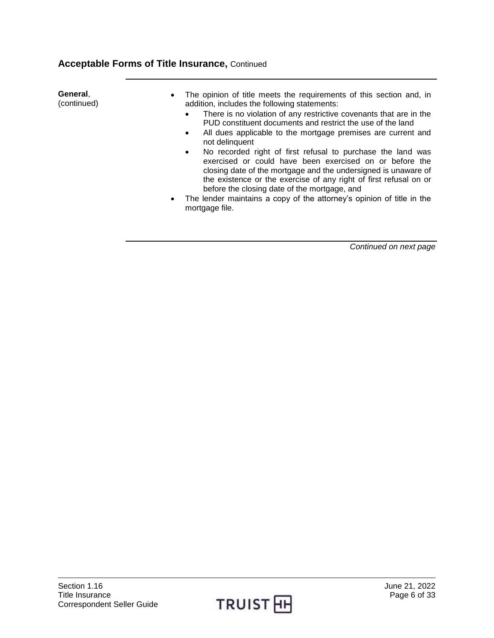| General,<br>The opinion of title meets the requirements of this section and, in<br>$\bullet$                                                                                                                                                                                                                               |
|----------------------------------------------------------------------------------------------------------------------------------------------------------------------------------------------------------------------------------------------------------------------------------------------------------------------------|
| (continued)<br>addition, includes the following statements:                                                                                                                                                                                                                                                                |
| There is no violation of any restrictive covenants that are in the<br>$\bullet$<br>PUD constituent documents and restrict the use of the land                                                                                                                                                                              |
| All dues applicable to the mortgage premises are current and<br>$\bullet$<br>not delinguent                                                                                                                                                                                                                                |
| No recorded right of first refusal to purchase the land was<br>$\bullet$<br>exercised or could have been exercised on or before the<br>closing date of the mortgage and the undersigned is unaware of<br>the existence or the exercise of any right of first refusal on or<br>before the closing date of the mortgage, and |
| The lender maintains a copy of the attorney's opinion of title in the<br>$\bullet$                                                                                                                                                                                                                                         |

 The lender maintains a copy of the attorney's opinion of title in the mortgage file.

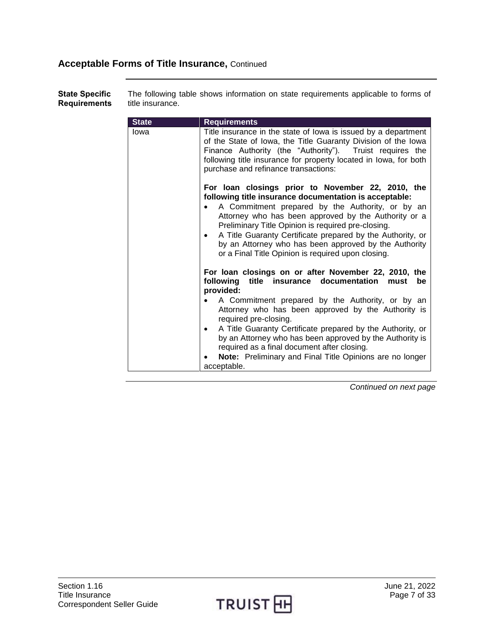**State Specific Requirements** The following table shows information on state requirements applicable to forms of title insurance.

| <b>State</b> | <b>Requirements</b>                                                                                                                                                                                                                                                                                                                                                                                                                                                                                                            |
|--------------|--------------------------------------------------------------------------------------------------------------------------------------------------------------------------------------------------------------------------------------------------------------------------------------------------------------------------------------------------------------------------------------------------------------------------------------------------------------------------------------------------------------------------------|
| lowa         | Title insurance in the state of lowa is issued by a department<br>of the State of Iowa, the Title Guaranty Division of the Iowa<br>Finance Authority (the "Authority"). Truist requires the<br>following title insurance for property located in lowa, for both<br>purchase and refinance transactions:                                                                                                                                                                                                                        |
|              | For loan closings prior to November 22, 2010, the<br>following title insurance documentation is acceptable:<br>A Commitment prepared by the Authority, or by an<br>$\bullet$<br>Attorney who has been approved by the Authority or a<br>Preliminary Title Opinion is required pre-closing.<br>A Title Guaranty Certificate prepared by the Authority, or<br>by an Attorney who has been approved by the Authority<br>or a Final Title Opinion is required upon closing.                                                        |
|              | For loan closings on or after November 22, 2010, the<br>following title insurance documentation<br>must<br>be<br>provided:<br>A Commitment prepared by the Authority, or by an<br>Attorney who has been approved by the Authority is<br>required pre-closing.<br>A Title Guaranty Certificate prepared by the Authority, or<br>$\bullet$<br>by an Attorney who has been approved by the Authority is<br>required as a final document after closing.<br>Note: Preliminary and Final Title Opinions are no longer<br>acceptable. |

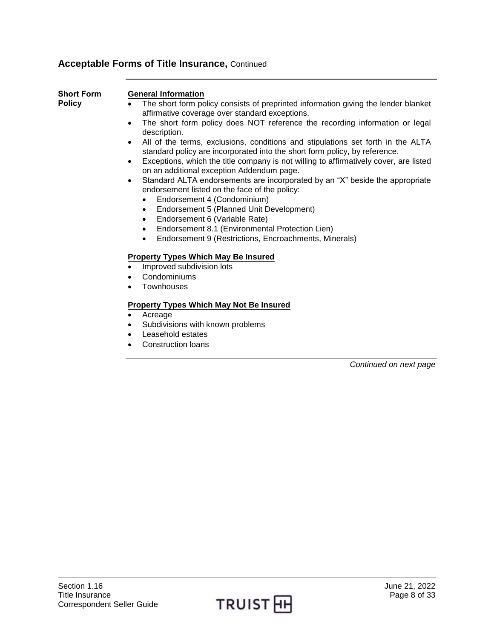<span id="page-7-0"></span>

| <b>Short Form</b><br><b>Policy</b> | <b>General Information</b><br>The short form policy consists of preprinted information giving the lender blanket<br>affirmative coverage over standard exceptions.<br>The short form policy does NOT reference the recording information or legal<br>$\bullet$<br>description.<br>All of the terms, exclusions, conditions and stipulations set forth in the ALTA<br>$\bullet$<br>standard policy are incorporated into the short form policy, by reference.<br>Exceptions, which the title company is not willing to affirmatively cover, are listed<br>$\bullet$<br>on an additional exception Addendum page.<br>Standard ALTA endorsements are incorporated by an "X" beside the appropriate<br>$\bullet$<br>endorsement listed on the face of the policy:<br>Endorsement 4 (Condominium)<br>Endorsement 5 (Planned Unit Development)<br>$\bullet$<br>Endorsement 6 (Variable Rate)<br>$\bullet$<br>Endorsement 8.1 (Environmental Protection Lien)<br>Endorsement 9 (Restrictions, Encroachments, Minerals)<br>$\bullet$<br><b>Property Types Which May Be Insured</b> |
|------------------------------------|----------------------------------------------------------------------------------------------------------------------------------------------------------------------------------------------------------------------------------------------------------------------------------------------------------------------------------------------------------------------------------------------------------------------------------------------------------------------------------------------------------------------------------------------------------------------------------------------------------------------------------------------------------------------------------------------------------------------------------------------------------------------------------------------------------------------------------------------------------------------------------------------------------------------------------------------------------------------------------------------------------------------------------------------------------------------------|
|                                    | Improved subdivision lots<br>$\bullet$                                                                                                                                                                                                                                                                                                                                                                                                                                                                                                                                                                                                                                                                                                                                                                                                                                                                                                                                                                                                                                     |
|                                    | Condominiums<br>$\bullet$                                                                                                                                                                                                                                                                                                                                                                                                                                                                                                                                                                                                                                                                                                                                                                                                                                                                                                                                                                                                                                                  |
|                                    | Townhouses<br>$\bullet$                                                                                                                                                                                                                                                                                                                                                                                                                                                                                                                                                                                                                                                                                                                                                                                                                                                                                                                                                                                                                                                    |
|                                    | <b>Property Types Which May Not Be Insured</b>                                                                                                                                                                                                                                                                                                                                                                                                                                                                                                                                                                                                                                                                                                                                                                                                                                                                                                                                                                                                                             |
|                                    | Acreage<br>$\bullet$                                                                                                                                                                                                                                                                                                                                                                                                                                                                                                                                                                                                                                                                                                                                                                                                                                                                                                                                                                                                                                                       |
|                                    | Subdivisions with known problems                                                                                                                                                                                                                                                                                                                                                                                                                                                                                                                                                                                                                                                                                                                                                                                                                                                                                                                                                                                                                                           |
|                                    | Leasehold estates<br>$\bullet$                                                                                                                                                                                                                                                                                                                                                                                                                                                                                                                                                                                                                                                                                                                                                                                                                                                                                                                                                                                                                                             |
|                                    | <b>Construction loans</b>                                                                                                                                                                                                                                                                                                                                                                                                                                                                                                                                                                                                                                                                                                                                                                                                                                                                                                                                                                                                                                                  |
|                                    | Continued on next page                                                                                                                                                                                                                                                                                                                                                                                                                                                                                                                                                                                                                                                                                                                                                                                                                                                                                                                                                                                                                                                     |

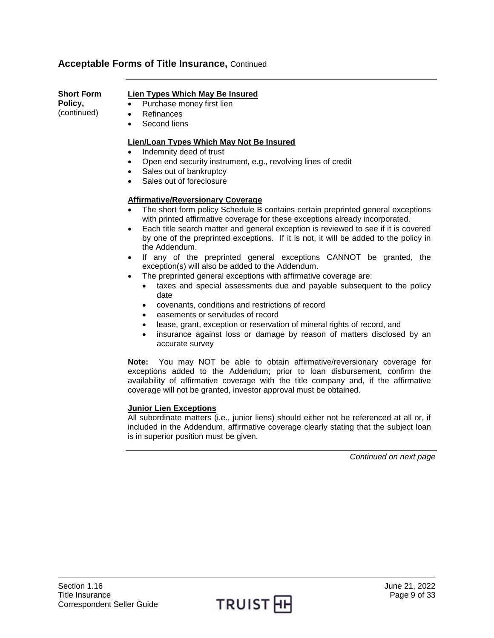| <b>Short Form</b> | Lien Types Which May Be Insured                                                                                                                                      |
|-------------------|----------------------------------------------------------------------------------------------------------------------------------------------------------------------|
| Policy,           | Purchase money first lien<br>٠                                                                                                                                       |
| (continued)       | Refinances<br>٠                                                                                                                                                      |
|                   | Second liens<br>٠                                                                                                                                                    |
|                   | Lien/Loan Types Which May Not Be Insured                                                                                                                             |
|                   | Indemnity deed of trust                                                                                                                                              |
|                   | Open end security instrument, e.g., revolving lines of credit<br>٠                                                                                                   |
|                   | Sales out of bankruptcy<br>$\bullet$                                                                                                                                 |
|                   | Sales out of foreclosure<br>٠                                                                                                                                        |
|                   | <b>Affirmative/Reversionary Coverage</b>                                                                                                                             |
|                   | The short form policy Schedule B contains certain preprinted general exceptions<br>٠<br>with printed affirmative coverage for these exceptions already incorporated. |

- Each title search matter and general exception is reviewed to see if it is covered by one of the preprinted exceptions. If it is not, it will be added to the policy in the Addendum.
- If any of the preprinted general exceptions CANNOT be granted, the exception(s) will also be added to the Addendum.
- The preprinted general exceptions with affirmative coverage are:
	- taxes and special assessments due and payable subsequent to the policy date
	- covenants, conditions and restrictions of record
	- easements or servitudes of record
	- lease, grant, exception or reservation of mineral rights of record, and
	- insurance against loss or damage by reason of matters disclosed by an accurate survey

**Note:** You may NOT be able to obtain affirmative/reversionary coverage for exceptions added to the Addendum; prior to loan disbursement, confirm the availability of affirmative coverage with the title company and, if the affirmative coverage will not be granted, investor approval must be obtained.

## **Junior Lien Exceptions**

All subordinate matters (i.e., junior liens) should either not be referenced at all or, if included in the Addendum, affirmative coverage clearly stating that the subject loan is in superior position must be given.

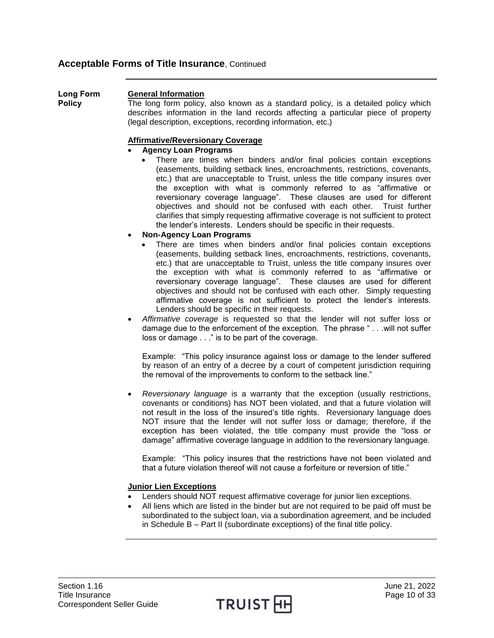<span id="page-9-0"></span>**Long Form Policy** 

## **General Information**

The long form policy, also known as a standard policy, is a detailed policy which describes information in the land records affecting a particular piece of property (legal description, exceptions, recording information, etc.)

#### **Affirmative/Reversionary Coverage**

- **Agency Loan Programs**
	- There are times when binders and/or final policies contain exceptions (easements, building setback lines, encroachments, restrictions, covenants, etc.) that are unacceptable to Truist, unless the title company insures over the exception with what is commonly referred to as "affirmative or reversionary coverage language". These clauses are used for different objectives and should not be confused with each other. Truist further clarifies that simply requesting affirmative coverage is not sufficient to protect the lender's interests. Lenders should be specific in their requests.
- **Non-Agency Loan Programs**
	- There are times when binders and/or final policies contain exceptions (easements, building setback lines, encroachments, restrictions, covenants, etc.) that are unacceptable to Truist, unless the title company insures over the exception with what is commonly referred to as "affirmative or reversionary coverage language". These clauses are used for different objectives and should not be confused with each other. Simply requesting affirmative coverage is not sufficient to protect the lender's interests. Lenders should be specific in their requests.
- *Affirmative coverage* is requested so that the lender will not suffer loss or damage due to the enforcement of the exception. The phrase " . . .will not suffer loss or damage . . ." is to be part of the coverage.

Example: "This policy insurance against loss or damage to the lender suffered by reason of an entry of a decree by a court of competent jurisdiction requiring the removal of the improvements to conform to the setback line."

 *Reversionary language* is a warranty that the exception (usually restrictions, covenants or conditions) has NOT been violated, and that a future violation will not result in the loss of the insured's title rights. Reversionary language does NOT insure that the lender will not suffer loss or damage; therefore, if the exception has been violated, the title company must provide the "loss or damage" affirmative coverage language in addition to the reversionary language.

Example: "This policy insures that the restrictions have not been violated and that a future violation thereof will not cause a forfeiture or reversion of title."

## **Junior Lien Exceptions**

- Lenders should NOT request affirmative coverage for junior lien exceptions.
- All liens which are listed in the binder but are not required to be paid off must be subordinated to the subject loan, via a subordination agreement, and be included in Schedule B – Part II (subordinate exceptions) of the final title policy.

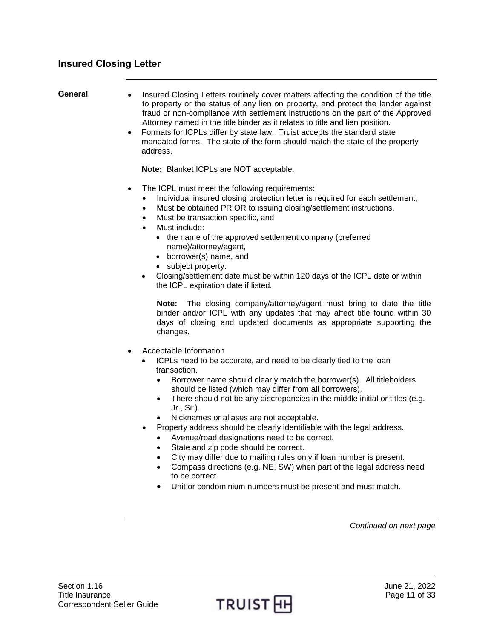- <span id="page-10-1"></span><span id="page-10-0"></span>**General** • Insured Closing Letters routinely cover matters affecting the condition of the title to property or the status of any lien on property, and protect the lender against fraud or non-compliance with settlement instructions on the part of the Approved Attorney named in the title binder as it relates to title and lien position.
	- Formats for ICPLs differ by state law. Truist accepts the standard state mandated forms. The state of the form should match the state of the property address.

**Note:** Blanket ICPLs are NOT acceptable.

- The ICPL must meet the following requirements:
	- Individual insured closing protection letter is required for each settlement,
	- Must be obtained PRIOR to issuing closing/settlement instructions.
	- Must be transaction specific, and
	- Must include:
		- the name of the approved settlement company (preferred name)/attorney/agent,
		- borrower(s) name, and
		- subject property.
	- Closing/settlement date must be within 120 days of the ICPL date or within the ICPL expiration date if listed.

**Note:** The closing company/attorney/agent must bring to date the title binder and/or ICPL with any updates that may affect title found within 30 days of closing and updated documents as appropriate supporting the changes.

- Acceptable Information
	- ICPLs need to be accurate, and need to be clearly tied to the loan transaction.
		- Borrower name should clearly match the borrower(s). All titleholders should be listed (which may differ from all borrowers).
		- There should not be any discrepancies in the middle initial or titles (e.g. Jr., Sr.).
		- Nicknames or aliases are not acceptable.
	- Property address should be clearly identifiable with the legal address.
		- Avenue/road designations need to be correct.
		- State and zip code should be correct.
		- City may differ due to mailing rules only if loan number is present.
		- Compass directions (e.g. NE, SW) when part of the legal address need to be correct.
		- Unit or condominium numbers must be present and must match.

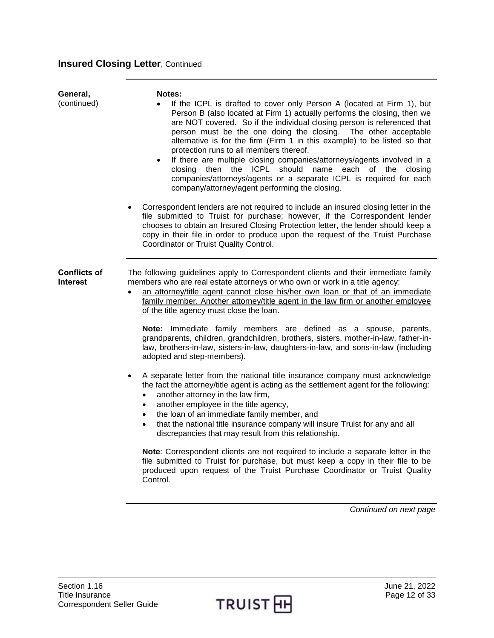# **Insured Closing Letter, Continued**

<span id="page-11-0"></span>

| General,<br>(continued)                | Notes:<br>If the ICPL is drafted to cover only Person A (located at Firm 1), but<br>Person B (also located at Firm 1) actually performs the closing, then we<br>are NOT covered. So if the individual closing person is referenced that<br>person must be the one doing the closing. The other acceptable<br>alternative is for the firm (Firm 1 in this example) to be listed so that<br>protection runs to all members thereof.<br>If there are multiple closing companies/attorneys/agents involved in a<br>$\bullet$<br>closing then the ICPL should name each of the closing<br>companies/attorneys/agents or a separate ICPL is required for each<br>company/attorney/agent performing the closing.<br>Correspondent lenders are not required to include an insured closing letter in the<br>file submitted to Truist for purchase; however, if the Correspondent lender<br>chooses to obtain an Insured Closing Protection letter, the lender should keep a<br>copy in their file in order to produce upon the request of the Truist Purchase<br>Coordinator or Truist Quality Control.                                                                                                                                                                                                                                                                                                                                                                  |
|----------------------------------------|-----------------------------------------------------------------------------------------------------------------------------------------------------------------------------------------------------------------------------------------------------------------------------------------------------------------------------------------------------------------------------------------------------------------------------------------------------------------------------------------------------------------------------------------------------------------------------------------------------------------------------------------------------------------------------------------------------------------------------------------------------------------------------------------------------------------------------------------------------------------------------------------------------------------------------------------------------------------------------------------------------------------------------------------------------------------------------------------------------------------------------------------------------------------------------------------------------------------------------------------------------------------------------------------------------------------------------------------------------------------------------------------------------------------------------------------------------------------|
| <b>Conflicts of</b><br><b>Interest</b> | The following guidelines apply to Correspondent clients and their immediate family<br>members who are real estate attorneys or who own or work in a title agency:<br>an attorney/title agent cannot close his/her own loan or that of an immediate<br>$\bullet$<br>family member. Another attorney/title agent in the law firm or another employee<br>of the title agency must close the loan.<br>Note: Immediate family members are defined as a spouse, parents,<br>grandparents, children, grandchildren, brothers, sisters, mother-in-law, father-in-<br>law, brothers-in-law, sisters-in-law, daughters-in-law, and sons-in-law (including<br>adopted and step-members).<br>A separate letter from the national title insurance company must acknowledge<br>$\bullet$<br>the fact the attorney/title agent is acting as the settlement agent for the following:<br>another attorney in the law firm,<br>$\bullet$<br>another employee in the title agency,<br>$\bullet$<br>the loan of an immediate family member, and<br>$\bullet$<br>that the national title insurance company will insure Truist for any and all<br>$\bullet$<br>discrepancies that may result from this relationship.<br>Note: Correspondent clients are not required to include a separate letter in the<br>file submitted to Truist for purchase, but must keep a copy in their file to be<br>produced upon request of the Truist Purchase Coordinator or Truist Quality<br>Control. |

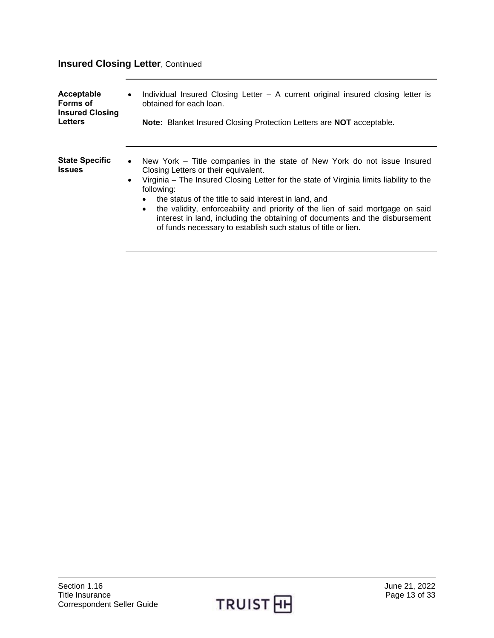# **Insured Closing Letter**, Continued

<span id="page-12-1"></span><span id="page-12-0"></span>

| Acceptable                             | Individual Insured Closing Letter - A current original insured closing letter is                                                                                                                                                                                                                                                                                                                                                                                                                                                                            |
|----------------------------------------|-------------------------------------------------------------------------------------------------------------------------------------------------------------------------------------------------------------------------------------------------------------------------------------------------------------------------------------------------------------------------------------------------------------------------------------------------------------------------------------------------------------------------------------------------------------|
| Forms of                               | $\bullet$                                                                                                                                                                                                                                                                                                                                                                                                                                                                                                                                                   |
| <b>Insured Closing</b>                 | obtained for each loan.                                                                                                                                                                                                                                                                                                                                                                                                                                                                                                                                     |
| <b>Letters</b>                         | <b>Note:</b> Blanket Insured Closing Protection Letters are <b>NOT</b> acceptable.                                                                                                                                                                                                                                                                                                                                                                                                                                                                          |
| <b>State Specific</b><br><b>Issues</b> | New York – Title companies in the state of New York do not issue Insured<br>$\bullet$<br>Closing Letters or their equivalent.<br>Virginia – The Insured Closing Letter for the state of Virginia limits liability to the<br>$\bullet$<br>following:<br>the status of the title to said interest in land, and<br>$\bullet$<br>the validity, enforceability and priority of the lien of said mortgage on said<br>interest in land, including the obtaining of documents and the disbursement<br>of funds necessary to establish such status of title or lien. |

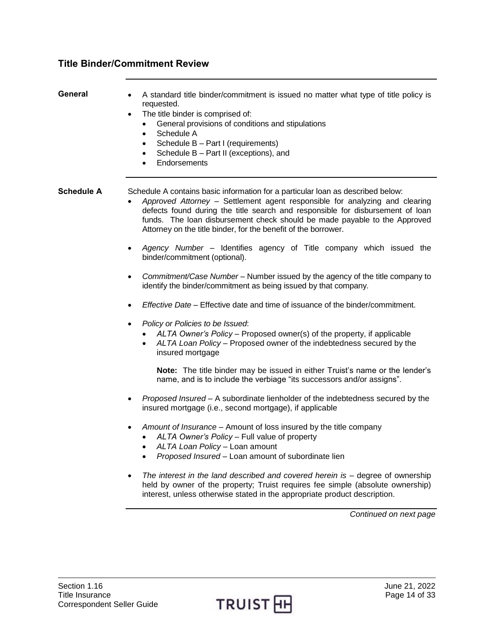## <span id="page-13-0"></span>**Title Binder/Commitment Review**

- <span id="page-13-1"></span>General • A standard title binder/commitment is issued no matter what type of title policy is requested.
	- The title binder is comprised of:
		- General provisions of conditions and stipulations
		- Schedule A
		- Schedule B Part I (requirements)
		- Schedule B Part II (exceptions), and
		- **Endorsements**

<span id="page-13-2"></span>**Schedule A** Schedule A contains basic information for a particular loan as described below:

- *Approved Attorney* Settlement agent responsible for analyzing and clearing defects found during the title search and responsible for disbursement of loan funds. The loan disbursement check should be made payable to the Approved Attorney on the title binder, for the benefit of the borrower.
- *Agency Number* Identifies agency of Title company which issued the binder/commitment (optional).
- *Commitment/Case Number* Number issued by the agency of the title company to identify the binder/commitment as being issued by that company.
- *Effective Date*  Effective date and time of issuance of the binder/commitment.
- *Policy or Policies to be Issued*:
	- *ALTA Owner's Policy* Proposed owner(s) of the property, if applicable
	- *ALTA Loan Policy*  Proposed owner of the indebtedness secured by the insured mortgage

**Note:** The title binder may be issued in either Truist's name or the lender's name, and is to include the verbiage "its successors and/or assigns".

- *Proposed Insured –* A subordinate lienholder of the indebtedness secured by the insured mortgage (i.e., second mortgage), if applicable
- *Amount of Insurance –* Amount of loss insured by the title company
	- *ALTA Owner's Policy –* Full value of property
	- *ALTA Loan Policy –* Loan amount
	- *Proposed Insured –* Loan amount of subordinate lien
- *The interest in the land described and covered herein is –* degree of ownership held by owner of the property; Truist requires fee simple (absolute ownership) interest, unless otherwise stated in the appropriate product description.

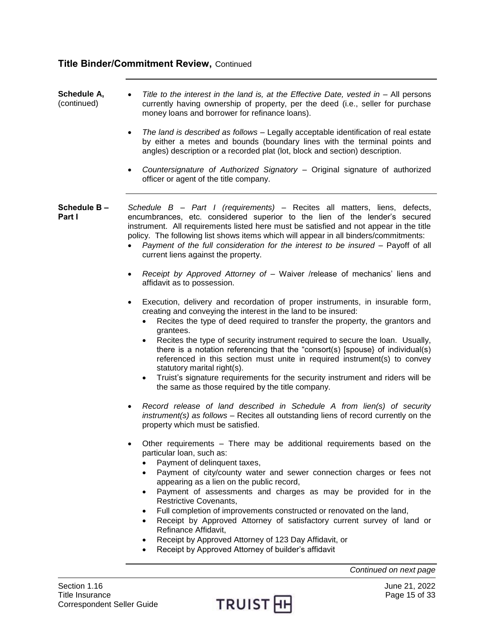<span id="page-14-0"></span>

| Schedule A,<br>(continued)      | Title to the interest in the land is, at the Effective Date, vested in $-$ All persons<br>$\bullet$<br>currently having ownership of property, per the deed (i.e., seller for purchase<br>money loans and borrower for refinance loans).                                                                                                                                                                                                                                                                                                                                                                                                                                                              |
|---------------------------------|-------------------------------------------------------------------------------------------------------------------------------------------------------------------------------------------------------------------------------------------------------------------------------------------------------------------------------------------------------------------------------------------------------------------------------------------------------------------------------------------------------------------------------------------------------------------------------------------------------------------------------------------------------------------------------------------------------|
|                                 | The land is described as follows - Legally acceptable identification of real estate<br>$\bullet$<br>by either a metes and bounds (boundary lines with the terminal points and<br>angles) description or a recorded plat (lot, block and section) description.                                                                                                                                                                                                                                                                                                                                                                                                                                         |
|                                 | Countersignature of Authorized Signatory - Original signature of authorized<br>$\bullet$<br>officer or agent of the title company.                                                                                                                                                                                                                                                                                                                                                                                                                                                                                                                                                                    |
| Schedule B-<br>Part I           | Schedule B - Part I (requirements) - Recites all matters, liens, defects,<br>encumbrances, etc. considered superior to the lien of the lender's secured<br>instrument. All requirements listed here must be satisfied and not appear in the title<br>policy. The following list shows items which will appear in all binders/commitments:<br>Payment of the full consideration for the interest to be insured - Payoff of all<br>current liens against the property.                                                                                                                                                                                                                                  |
|                                 | Receipt by Approved Attorney of - Waiver /release of mechanics' liens and<br>٠<br>affidavit as to possession.                                                                                                                                                                                                                                                                                                                                                                                                                                                                                                                                                                                         |
|                                 | Execution, delivery and recordation of proper instruments, in insurable form,<br>$\bullet$<br>creating and conveying the interest in the land to be insured:<br>Recites the type of deed required to transfer the property, the grantors and<br>grantees.<br>Recites the type of security instrument required to secure the loan. Usually,<br>there is a notation referencing that the "consort(s) [spouse] of individual(s)<br>referenced in this section must unite in required instrument(s) to convey<br>statutory marital right(s).<br>Truist's signature requirements for the security instrument and riders will be<br>$\bullet$<br>the same as those required by the title company.           |
|                                 | Record release of land described in Schedule A from lien(s) of security<br>$\bullet$<br>instrument(s) as follows - Recites all outstanding liens of record currently on the<br>property which must be satisfied.                                                                                                                                                                                                                                                                                                                                                                                                                                                                                      |
|                                 | Other requirements - There may be additional requirements based on the<br>particular loan, such as:<br>Payment of delinquent taxes,<br>Payment of city/county water and sewer connection charges or fees not<br>appearing as a lien on the public record,<br>Payment of assessments and charges as may be provided for in the<br>$\bullet$<br><b>Restrictive Covenants,</b><br>Full completion of improvements constructed or renovated on the land,<br>$\bullet$<br>Receipt by Approved Attorney of satisfactory current survey of land or<br>$\bullet$<br>Refinance Affidavit,<br>Receipt by Approved Attorney of 123 Day Affidavit, or<br>٠<br>Receipt by Approved Attorney of builder's affidavit |
|                                 | Continued on next page                                                                                                                                                                                                                                                                                                                                                                                                                                                                                                                                                                                                                                                                                |
| Section 1.16<br>Title Insurance | June 21, 2022<br>Page 15 of 33<br>T                                                                                                                                                                                                                                                                                                                                                                                                                                                                                                                                                                                                                                                                   |

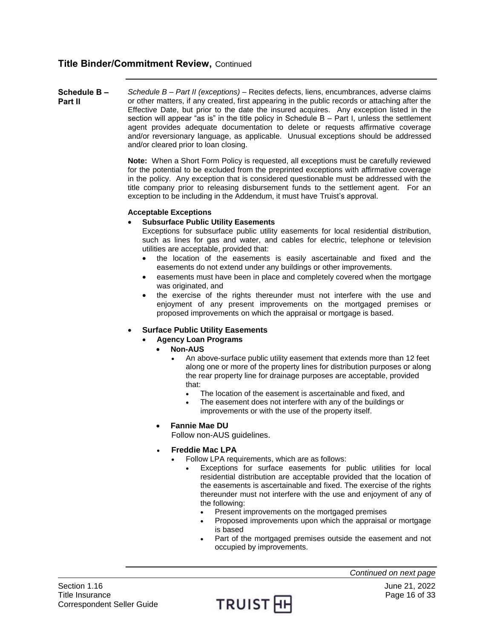<span id="page-15-0"></span>**Schedule B – Part II** *Schedule B – Part II (exceptions) –* Recites defects, liens, encumbrances, adverse claims or other matters, if any created, first appearing in the public records or attaching after the Effective Date, but prior to the date the insured acquires. Any exception listed in the section will appear "as is" in the title policy in Schedule B – Part I, unless the settlement agent provides adequate documentation to delete or requests affirmative coverage and/or reversionary language, as applicable. Unusual exceptions should be addressed and/or cleared prior to loan closing.

> **Note:** When a Short Form Policy is requested, all exceptions must be carefully reviewed for the potential to be excluded from the preprinted exceptions with affirmative coverage in the policy. Any exception that is considered questionable must be addressed with the title company prior to releasing disbursement funds to the settlement agent. For an exception to be including in the Addendum, it must have Truist's approval.

#### **Acceptable Exceptions**

## **Subsurface Public Utility Easements**

Exceptions for subsurface public utility easements for local residential distribution, such as lines for gas and water, and cables for electric, telephone or television utilities are acceptable, provided that:

- the location of the easements is easily ascertainable and fixed and the easements do not extend under any buildings or other improvements.
- easements must have been in place and completely covered when the mortgage was originated, and
- the exercise of the rights thereunder must not interfere with the use and enjoyment of any present improvements on the mortgaged premises or proposed improvements on which the appraisal or mortgage is based.

## **Surface Public Utility Easements**

- **Agency Loan Programs** 
	- **Non-AUS**
		- An above-surface public utility easement that extends more than 12 feet along one or more of the property lines for distribution purposes or along the rear property line for drainage purposes are acceptable, provided that:
			- The location of the easement is ascertainable and fixed, and
			- The easement does not interfere with any of the buildings or improvements or with the use of the property itself.
	- **Fannie Mae DU**

Follow non-AUS guidelines.

- **Freddie Mac LPA**
	- Follow LPA requirements, which are as follows:
		- Exceptions for surface easements for public utilities for local residential distribution are acceptable provided that the location of the easements is ascertainable and fixed. The exercise of the rights thereunder must not interfere with the use and enjoyment of any of the following:
			- Present improvements on the mortgaged premises
			- Proposed improvements upon which the appraisal or mortgage is based
			- Part of the mortgaged premises outside the easement and not occupied by improvements.

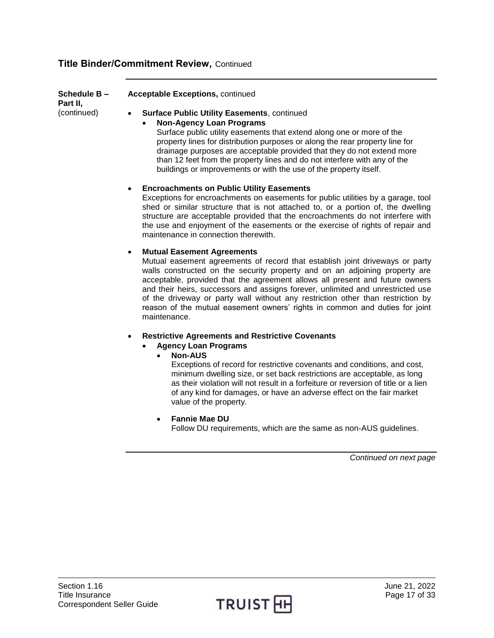**Schedule B – Part II,** (continued)

**Acceptable Exceptions,** continued

**Surface Public Utility Easements**, continued

**Non-Agency Loan Programs** 

Surface public utility easements that extend along one or more of the property lines for distribution purposes or along the rear property line for drainage purposes are acceptable provided that they do not extend more than 12 feet from the property lines and do not interfere with any of the buildings or improvements or with the use of the property itself.

## **Encroachments on Public Utility Easements**

Exceptions for encroachments on easements for public utilities by a garage, tool shed or similar structure that is not attached to, or a portion of, the dwelling structure are acceptable provided that the encroachments do not interfere with the use and enjoyment of the easements or the exercise of rights of repair and maintenance in connection therewith.

## **Mutual Easement Agreements**

Mutual easement agreements of record that establish joint driveways or party walls constructed on the security property and on an adjoining property are acceptable, provided that the agreement allows all present and future owners and their heirs, successors and assigns forever, unlimited and unrestricted use of the driveway or party wall without any restriction other than restriction by reason of the mutual easement owners' rights in common and duties for joint maintenance.

- **Restrictive Agreements and Restrictive Covenants**
	- **Agency Loan Programs** 
		- **Non-AUS**

Exceptions of record for restrictive covenants and conditions, and cost, minimum dwelling size, or set back restrictions are acceptable, as long as their violation will not result in a forfeiture or reversion of title or a lien of any kind for damages, or have an adverse effect on the fair market value of the property.

 **Fannie Mae DU** Follow DU requirements, which are the same as non-AUS guidelines.

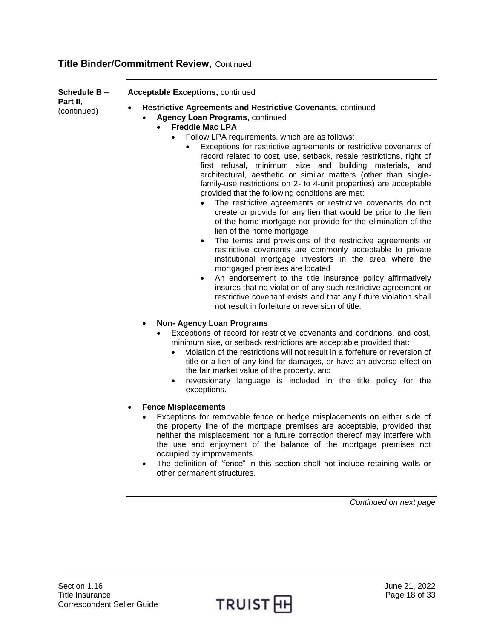**Schedule B –**

## **Acceptable Exceptions,** continued

**Part II,** (continued)

**Restrictive Agreements and Restrictive Covenants**, continued

## **Agency Loan Programs**, continued

- **Freddie Mac LPA**
	- Follow LPA requirements, which are as follows:
		- Exceptions for restrictive agreements or restrictive covenants of record related to cost, use, setback, resale restrictions, right of first refusal, minimum size and building materials, and architectural, aesthetic or similar matters (other than singlefamily-use restrictions on 2- to 4-unit properties) are acceptable provided that the following conditions are met:
			- The restrictive agreements or restrictive covenants do not create or provide for any lien that would be prior to the lien of the home mortgage nor provide for the elimination of the lien of the home mortgage
			- The terms and provisions of the restrictive agreements or restrictive covenants are commonly acceptable to private institutional mortgage investors in the area where the mortgaged premises are located
			- An endorsement to the title insurance policy affirmatively insures that no violation of any such restrictive agreement or restrictive covenant exists and that any future violation shall not result in forfeiture or reversion of title.
- **Non- Agency Loan Programs**
	- Exceptions of record for restrictive covenants and conditions, and cost, minimum size, or setback restrictions are acceptable provided that:
		- violation of the restrictions will not result in a forfeiture or reversion of title or a lien of any kind for damages, or have an adverse effect on the fair market value of the property, and
		- reversionary language is included in the title policy for the exceptions.
- **Fence Misplacements**
	- Exceptions for removable fence or hedge misplacements on either side of the property line of the mortgage premises are acceptable, provided that neither the misplacement nor a future correction thereof may interfere with the use and enjoyment of the balance of the mortgage premises not occupied by improvements.
	- The definition of "fence" in this section shall not include retaining walls or other permanent structures.

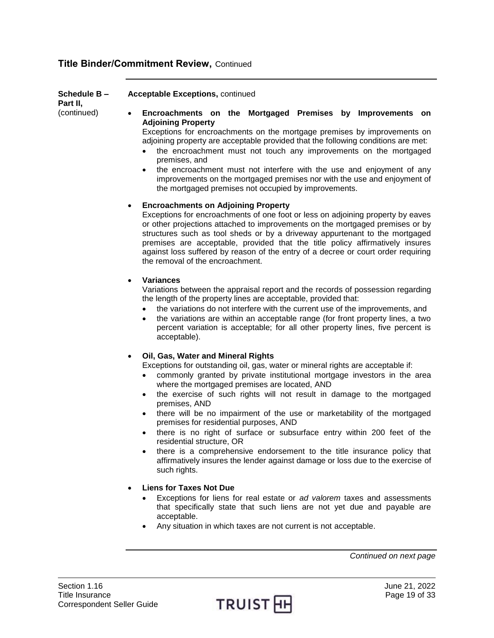**Schedule B –**

**Part II,** (continued)

## **Encroachments on the Mortgaged Premises by Improvements on Adjoining Property**

Exceptions for encroachments on the mortgage premises by improvements on adjoining property are acceptable provided that the following conditions are met:

- the encroachment must not touch any improvements on the mortgaged premises, and
- the encroachment must not interfere with the use and enjoyment of any improvements on the mortgaged premises nor with the use and enjoyment of the mortgaged premises not occupied by improvements.

## **Encroachments on Adjoining Property**

**Acceptable Exceptions,** continued

Exceptions for encroachments of one foot or less on adjoining property by eaves or other projections attached to improvements on the mortgaged premises or by structures such as tool sheds or by a driveway appurtenant to the mortgaged premises are acceptable, provided that the title policy affirmatively insures against loss suffered by reason of the entry of a decree or court order requiring the removal of the encroachment.

## **Variances**

Variations between the appraisal report and the records of possession regarding the length of the property lines are acceptable, provided that:

- the variations do not interfere with the current use of the improvements, and
- the variations are within an acceptable range (for front property lines, a two percent variation is acceptable; for all other property lines, five percent is acceptable).

## **Oil, Gas, Water and Mineral Rights**

Exceptions for outstanding oil, gas, water or mineral rights are acceptable if:

- commonly granted by private institutional mortgage investors in the area where the mortgaged premises are located, AND
- the exercise of such rights will not result in damage to the mortgaged premises, AND
- there will be no impairment of the use or marketability of the mortgaged premises for residential purposes, AND
- there is no right of surface or subsurface entry within 200 feet of the residential structure, OR
- there is a comprehensive endorsement to the title insurance policy that affirmatively insures the lender against damage or loss due to the exercise of such rights.

## **Liens for Taxes Not Due**

- Exceptions for liens for real estate or *ad valorem* taxes and assessments that specifically state that such liens are not yet due and payable are acceptable.
- Any situation in which taxes are not current is not acceptable.

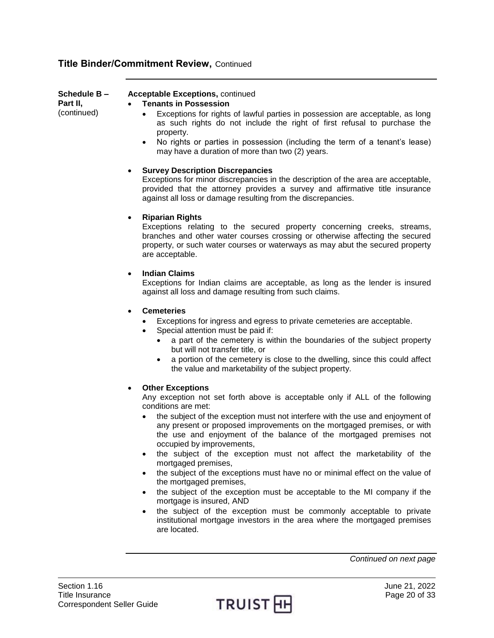| <b>Schedule B –</b><br>Part II,<br>(continued) | <b>Acceptable Exceptions, continued</b><br><b>Tenants in Possession</b><br>$\bullet$<br>Exceptions for rights of lawful parties in possession are acceptable, as long<br>as such rights do not include the right of first refusal to purchase the<br>property.<br>No rights or parties in possession (including the term of a tenant's lease)<br>$\bullet$<br>may have a duration of more than two (2) years. |
|------------------------------------------------|---------------------------------------------------------------------------------------------------------------------------------------------------------------------------------------------------------------------------------------------------------------------------------------------------------------------------------------------------------------------------------------------------------------|
|                                                | <b>Survey Description Discrepancies</b><br>Exceptions for minor discrepancies in the description of the area are acceptable,<br>provided that the attorney provides a survey and affirmative title insurance<br>against all loss or damage resulting from the discrepancies.                                                                                                                                  |
|                                                | <b>Riparian Rights</b><br>$\bullet$<br>Exceptions relating to the secured property concerning creeks, streams,<br>branches and other water courses crossing or otherwise affecting the secured<br>property, or such water courses or waterways as may abut the secured property<br>are acceptable.                                                                                                            |
|                                                | <b>Indian Claims</b><br>$\bullet$<br>Exceptions for Indian claims are acceptable, as long as the lender is insured<br>against all loss and damage resulting from such claims.                                                                                                                                                                                                                                 |
|                                                | <b>Cemeteries</b><br>$\bullet$<br>Exceptions for ingress and egress to private cemeteries are acceptable.<br>Special attention must be paid if:<br>a part of the cemetery is within the boundaries of the subject property<br>but will not transfer title, or                                                                                                                                                 |

 a portion of the cemetery is close to the dwelling, since this could affect the value and marketability of the subject property.

## **Other Exceptions**

Any exception not set forth above is acceptable only if ALL of the following conditions are met:

- the subject of the exception must not interfere with the use and enjoyment of any present or proposed improvements on the mortgaged premises, or with the use and enjoyment of the balance of the mortgaged premises not occupied by improvements,
- the subject of the exception must not affect the marketability of the mortgaged premises,
- the subject of the exceptions must have no or minimal effect on the value of the mortgaged premises,
- the subject of the exception must be acceptable to the MI company if the mortgage is insured, AND
- the subject of the exception must be commonly acceptable to private institutional mortgage investors in the area where the mortgaged premises are located.

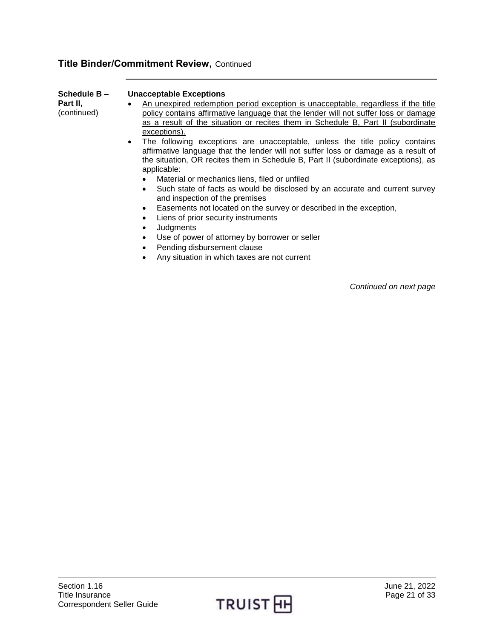| Schedule B-<br>Part II,<br>(continued) | <b>Unacceptable Exceptions</b><br>An unexpired redemption period exception is unacceptable, regardless if the title<br>$\bullet$<br>policy contains affirmative language that the lender will not suffer loss or damage<br>as a result of the situation or recites them in Schedule B, Part II (subordinate<br>exceptions).<br>The following exceptions are unacceptable, unless the title policy contains<br>$\bullet$<br>affirmative language that the lender will not suffer loss or damage as a result of<br>the situation, OR recites them in Schedule B, Part II (subordinate exceptions), as<br>applicable:<br>Material or mechanics liens, filed or unfiled<br>• Such state of facts as would be disclosed by an accurate and current survey<br>and inspection of the premises<br>• Easements not located on the survey or described in the exception, |
|----------------------------------------|----------------------------------------------------------------------------------------------------------------------------------------------------------------------------------------------------------------------------------------------------------------------------------------------------------------------------------------------------------------------------------------------------------------------------------------------------------------------------------------------------------------------------------------------------------------------------------------------------------------------------------------------------------------------------------------------------------------------------------------------------------------------------------------------------------------------------------------------------------------|
|                                        | Liens of prior security instruments<br>$\bullet$<br>Judgments<br>$\bullet$                                                                                                                                                                                                                                                                                                                                                                                                                                                                                                                                                                                                                                                                                                                                                                                     |
|                                        | Use of power of attorney by borrower or seller<br>$\bullet$<br>Pending disbursement clause                                                                                                                                                                                                                                                                                                                                                                                                                                                                                                                                                                                                                                                                                                                                                                     |
|                                        | Any situation in which taxes are not current                                                                                                                                                                                                                                                                                                                                                                                                                                                                                                                                                                                                                                                                                                                                                                                                                   |

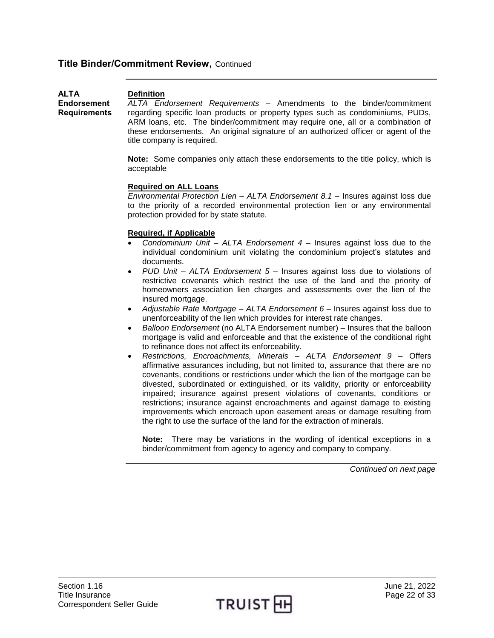<span id="page-21-0"></span>

| <b>ALTA</b>         | <b>Definition</b>                                                                  |
|---------------------|------------------------------------------------------------------------------------|
| <b>Endorsement</b>  | ALTA Endorsement Requirements – Amendments to the binder/commitment                |
| <b>Requirements</b> | regarding specific loan products or property types such as condominiums, PUDs,     |
|                     | ARM loans, etc. The binder/commitment may require one, all or a combination of     |
|                     | these endorsements. An original signature of an authorized officer or agent of the |

**Note:** Some companies only attach these endorsements to the title policy, which is acceptable

## **Required on ALL Loans**

title company is required.

*Environmental Protection Lien – ALTA Endorsement 8.1* – Insures against loss due to the priority of a recorded environmental protection lien or any environmental protection provided for by state statute.

## **Required, if Applicable**

- *Condominium Unit – ALTA Endorsement 4*  Insures against loss due to the individual condominium unit violating the condominium project's statutes and documents.
- *PUD Unit – ALTA Endorsement 5*  Insures against loss due to violations of restrictive covenants which restrict the use of the land and the priority of homeowners association lien charges and assessments over the lien of the insured mortgage.
- *Adjustable Rate Mortgage ALTA Endorsement 6*  Insures against loss due to unenforceability of the lien which provides for interest rate changes.
- *Balloon Endorsement* (no ALTA Endorsement number) Insures that the balloon mortgage is valid and enforceable and that the existence of the conditional right to refinance does not affect its enforceability.
- *Restrictions, Encroachments, Minerals – ALTA Endorsement 9*  Offers affirmative assurances including, but not limited to, assurance that there are no covenants, conditions or restrictions under which the lien of the mortgage can be divested, subordinated or extinguished, or its validity, priority or enforceability impaired; insurance against present violations of covenants, conditions or restrictions; insurance against encroachments and against damage to existing improvements which encroach upon easement areas or damage resulting from the right to use the surface of the land for the extraction of minerals.

**Note:** There may be variations in the wording of identical exceptions in a binder/commitment from agency to agency and company to company.

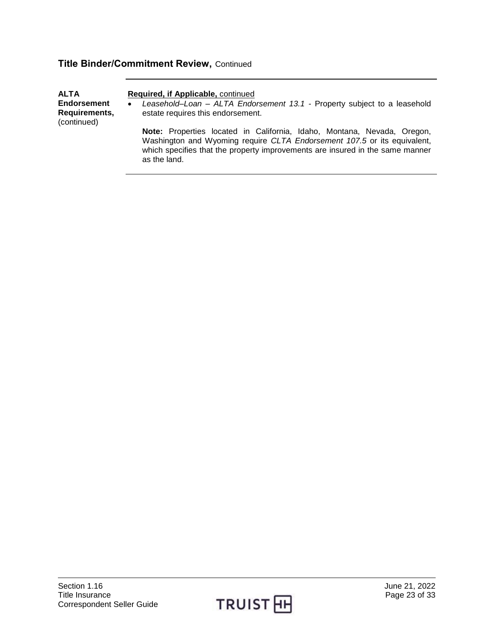| <b>ALTA</b><br>Required, if Applicable, continued<br><b>Endorsement</b><br>Leasehold-Loan - ALTA Endorsement 13.1 - Property subject to a leasehold<br>$\bullet$<br>Requirements,<br>estate requires this endorsement.<br>(continued) |                                                                                                                                                                                                                                                      |
|---------------------------------------------------------------------------------------------------------------------------------------------------------------------------------------------------------------------------------------|------------------------------------------------------------------------------------------------------------------------------------------------------------------------------------------------------------------------------------------------------|
|                                                                                                                                                                                                                                       | Note: Properties located in California, Idaho, Montana, Nevada, Oregon,<br>Washington and Wyoming require CLTA Endorsement 107.5 or its equivalent,<br>which specifies that the property improvements are insured in the same manner<br>as the land. |

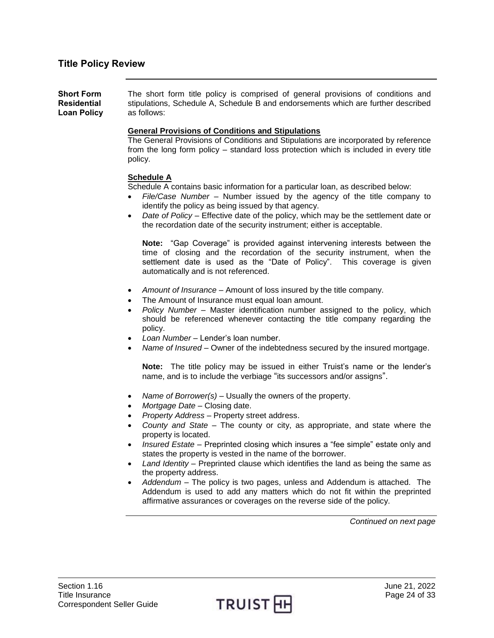<span id="page-23-1"></span><span id="page-23-0"></span>**Short Form Residential Loan Policy**  The short form title policy is comprised of general provisions of conditions and stipulations, Schedule A, Schedule B and endorsements which are further described as follows:

## **General Provisions of Conditions and Stipulations**

The General Provisions of Conditions and Stipulations are incorporated by reference from the long form policy – standard loss protection which is included in every title policy.

## **Schedule A**

Schedule A contains basic information for a particular loan, as described below:

- *File/Case Number* Number issued by the agency of the title company to identify the policy as being issued by that agency.
- *Date of Policy*  Effective date of the policy, which may be the settlement date or the recordation date of the security instrument; either is acceptable.

**Note:** "Gap Coverage" is provided against intervening interests between the time of closing and the recordation of the security instrument, when the settlement date is used as the "Date of Policy". This coverage is given automatically and is not referenced.

- *Amount of Insurance* Amount of loss insured by the title company.
- The Amount of Insurance must equal loan amount.
- *Policy Number*  Master identification number assigned to the policy, which should be referenced whenever contacting the title company regarding the policy.
- *Loan Number*  Lender's loan number.
- *Name of Insured*  Owner of the indebtedness secured by the insured mortgage.

**Note:** The title policy may be issued in either Truist's name or the lender's name, and is to include the verbiage "its successors and/or assigns".

- *Name of Borrower(s) –* Usually the owners of the property.
- *Mortgage Date –* Closing date.
- *Property Address –* Property street address.
- *County and State –* The county or city, as appropriate, and state where the property is located.
- *Insured Estate –* Preprinted closing which insures a "fee simple" estate only and states the property is vested in the name of the borrower.
- *Land Identity –* Preprinted clause which identifies the land as being the same as the property address.
- *Addendum –* The policy is two pages, unless and Addendum is attached. The Addendum is used to add any matters which do not fit within the preprinted affirmative assurances or coverages on the reverse side of the policy.

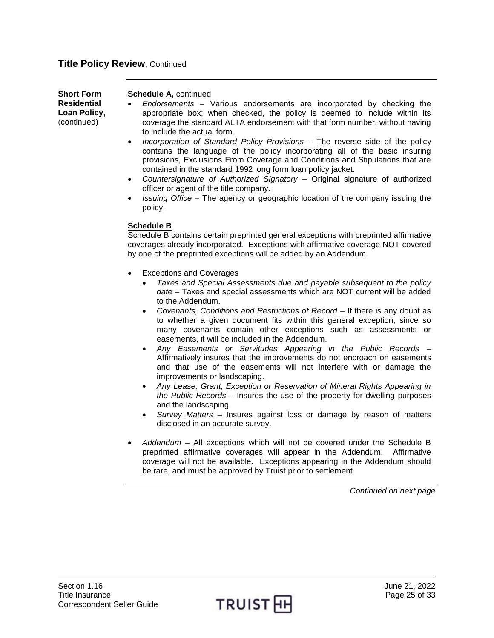| <b>Short Form</b><br><b>Residential</b><br>Loan Policy,<br>(continued) | <b>Schedule A, continued</b><br>Endorsements - Various endorsements are incorporated by checking the<br>appropriate box; when checked, the policy is deemed to include within its<br>coverage the standard ALTA endorsement with that form number, without having<br>to include the actual form.<br>Incorporation of Standard Policy Provisions - The reverse side of the policy<br>$\bullet$<br>contains the language of the policy incorporating all of the basic insuring<br>provisions, Exclusions From Coverage and Conditions and Stipulations that are<br>contained in the standard 1992 long form loan policy jacket.<br>Countersignature of Authorized Signatory - Original signature of authorized<br>$\bullet$<br>officer or agent of the title company.<br><i>Issuing Office – The agency or geographic location of the company issuing the</i><br>$\bullet$<br>policy. |
|------------------------------------------------------------------------|-------------------------------------------------------------------------------------------------------------------------------------------------------------------------------------------------------------------------------------------------------------------------------------------------------------------------------------------------------------------------------------------------------------------------------------------------------------------------------------------------------------------------------------------------------------------------------------------------------------------------------------------------------------------------------------------------------------------------------------------------------------------------------------------------------------------------------------------------------------------------------------|
|                                                                        |                                                                                                                                                                                                                                                                                                                                                                                                                                                                                                                                                                                                                                                                                                                                                                                                                                                                                     |

## **Schedule B**

Schedule B contains certain preprinted general exceptions with preprinted affirmative coverages already incorporated. Exceptions with affirmative coverage NOT covered by one of the preprinted exceptions will be added by an Addendum.

- Exceptions and Coverages
	- *Taxes and Special Assessments due and payable subsequent to the policy date –* Taxes and special assessments which are NOT current will be added to the Addendum.
	- *Covenants, Conditions and Restrictions of Record –* If there is any doubt as to whether a given document fits within this general exception, since so many covenants contain other exceptions such as assessments or easements, it will be included in the Addendum.
	- *Any Easements or Servitudes Appearing in the Public Records –* Affirmatively insures that the improvements do not encroach on easements and that use of the easements will not interfere with or damage the improvements or landscaping.
	- *Any Lease, Grant, Exception or Reservation of Mineral Rights Appearing in the Public Records –* Insures the use of the property for dwelling purposes and the landscaping.
	- *Survey Matters –* Insures against loss or damage by reason of matters disclosed in an accurate survey.
- *Addendum –* All exceptions which will not be covered under the Schedule B preprinted affirmative coverages will appear in the Addendum. Affirmative coverage will not be available. Exceptions appearing in the Addendum should be rare, and must be approved by Truist prior to settlement.

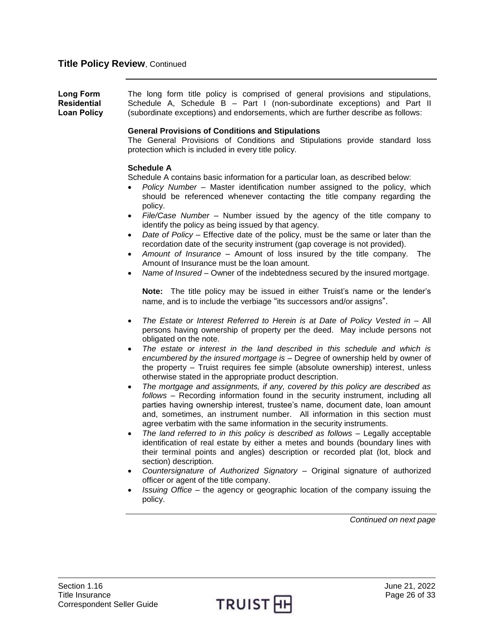<span id="page-25-0"></span>**Long Form Residential Loan Policy**  The long form title policy is comprised of general provisions and stipulations, Schedule A, Schedule B – Part I (non-subordinate exceptions) and Part II (subordinate exceptions) and endorsements, which are further describe as follows:

## **General Provisions of Conditions and Stipulations**

The General Provisions of Conditions and Stipulations provide standard loss protection which is included in every title policy.

## **Schedule A**

Schedule A contains basic information for a particular loan, as described below:

- *Policy Number –* Master identification number assigned to the policy, which should be referenced whenever contacting the title company regarding the policy.
- *File/Case Number –* Number issued by the agency of the title company to identify the policy as being issued by that agency.
- *Date of Policy –* Effective date of the policy, must be the same or later than the recordation date of the security instrument (gap coverage is not provided).
- *Amount of Insurance –* Amount of loss insured by the title company. The Amount of Insurance must be the loan amount.
- *Name of Insured –* Owner of the indebtedness secured by the insured mortgage.

**Note:** The title policy may be issued in either Truist's name or the lender's name, and is to include the verbiage "its successors and/or assigns".

- *The Estate or Interest Referred to Herein is at Date of Policy Vested in –* All persons having ownership of property per the deed. May include persons not obligated on the note.
- *The estate or interest in the land described in this schedule and which is encumbered by the insured mortgage is –* Degree of ownership held by owner of the property – Truist requires fee simple (absolute ownership) interest, unless otherwise stated in the appropriate product description.
- *The mortgage and assignments, if any, covered by this policy are described as follows –* Recording information found in the security instrument, including all parties having ownership interest, trustee's name, document date, loan amount and, sometimes, an instrument number. All information in this section must agree verbatim with the same information in the security instruments.
- *The land referred to in this policy is described as follows –* Legally acceptable identification of real estate by either a metes and bounds (boundary lines with their terminal points and angles) description or recorded plat (lot, block and section) description.
- *Countersignature of Authorized Signatory –* Original signature of authorized officer or agent of the title company.
- *Issuing Office –* the agency or geographic location of the company issuing the policy.

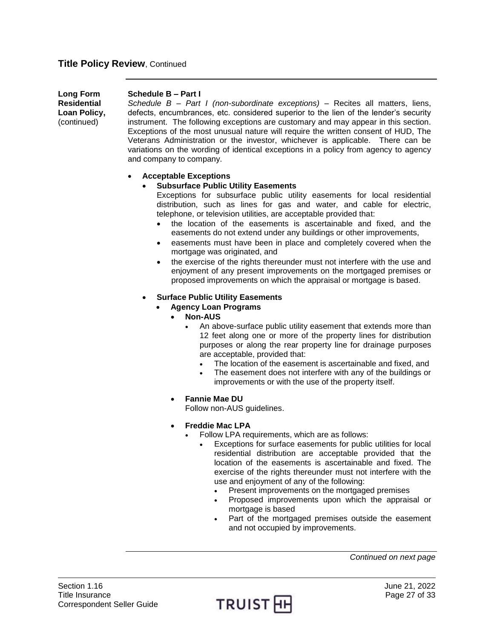| Long Form    | Schedule B - Part I                                                                  |
|--------------|--------------------------------------------------------------------------------------|
| Residential  | Schedule $B$ – Part I (non-subordinate exceptions) – Recites all matters, liens,     |
| Loan Policy, | defects, encumbrances, etc. considered superior to the lien of the lender's security |
| (continued)  | instrument. The following exceptions are customary and may appear in this section.   |
|              | Exceptions of the most unusual nature will require the written consent of HUD, The   |
|              | Veterans Administration or the investor, whichever is applicable. There can be       |

## **Acceptable Exceptions**

and company to company.

## **Subsurface Public Utility Easements**

Exceptions for subsurface public utility easements for local residential distribution, such as lines for gas and water, and cable for electric, telephone, or television utilities, are acceptable provided that:

variations on the wording of identical exceptions in a policy from agency to agency

- the location of the easements is ascertainable and fixed, and the easements do not extend under any buildings or other improvements,
- easements must have been in place and completely covered when the mortgage was originated, and
- the exercise of the rights thereunder must not interfere with the use and enjoyment of any present improvements on the mortgaged premises or proposed improvements on which the appraisal or mortgage is based.
- **Surface Public Utility Easements**
	- **Agency Loan Programs** 
		- **Non-AUS**
			- An above-surface public utility easement that extends more than 12 feet along one or more of the property lines for distribution purposes or along the rear property line for drainage purposes are acceptable, provided that:
				- The location of the easement is ascertainable and fixed, and
				- The easement does not interfere with any of the buildings or improvements or with the use of the property itself.
		- **Fannie Mae DU**
		- Follow non-AUS guidelines.
		- **Freddie Mac LPA**
			- Follow LPA requirements, which are as follows:
				- Exceptions for surface easements for public utilities for local residential distribution are acceptable provided that the location of the easements is ascertainable and fixed. The exercise of the rights thereunder must not interfere with the use and enjoyment of any of the following:
					- Present improvements on the mortgaged premises
					- Proposed improvements upon which the appraisal or mortgage is based
					- Part of the mortgaged premises outside the easement and not occupied by improvements.

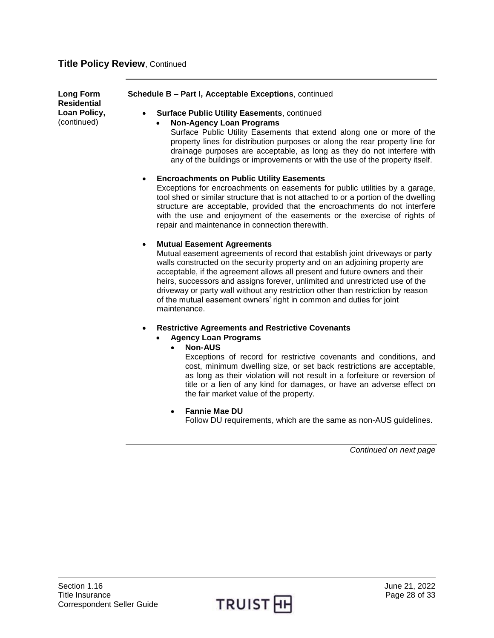**Long Form Residential Loan Policy,** (continued)

## **Schedule B – Part I, Acceptable Exceptions**, continued

- **Surface Public Utility Easements**, continued
	- **Non-Agency Loan Programs**

Surface Public Utility Easements that extend along one or more of the property lines for distribution purposes or along the rear property line for drainage purposes are acceptable, as long as they do not interfere with any of the buildings or improvements or with the use of the property itself.

## **Encroachments on Public Utility Easements**

Exceptions for encroachments on easements for public utilities by a garage, tool shed or similar structure that is not attached to or a portion of the dwelling structure are acceptable, provided that the encroachments do not interfere with the use and enjoyment of the easements or the exercise of rights of repair and maintenance in connection therewith.

## **Mutual Easement Agreements**

Mutual easement agreements of record that establish joint driveways or party walls constructed on the security property and on an adjoining property are acceptable, if the agreement allows all present and future owners and their heirs, successors and assigns forever, unlimited and unrestricted use of the driveway or party wall without any restriction other than restriction by reason of the mutual easement owners' right in common and duties for joint maintenance.

- **Restrictive Agreements and Restrictive Covenants**
	- **Agency Loan Programs** 
		- **Non-AUS**

Exceptions of record for restrictive covenants and conditions, and cost, minimum dwelling size, or set back restrictions are acceptable, as long as their violation will not result in a forfeiture or reversion of title or a lien of any kind for damages, or have an adverse effect on the fair market value of the property.

**Fannie Mae DU**

Follow DU requirements, which are the same as non-AUS guidelines.

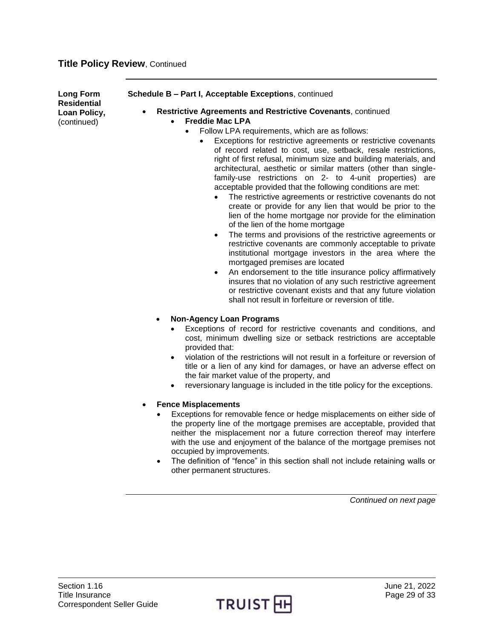**Long Form Residential Loan Policy,** (continued)

#### **Schedule B – Part I, Acceptable Exceptions**, continued

- **Restrictive Agreements and Restrictive Covenants**, continued **Freddie Mac LPA**
	- - Follow LPA requirements, which are as follows:
			- Exceptions for restrictive agreements or restrictive covenants of record related to cost, use, setback, resale restrictions, right of first refusal, minimum size and building materials, and architectural, aesthetic or similar matters (other than singlefamily-use restrictions on 2- to 4-unit properties) are acceptable provided that the following conditions are met:
				- The restrictive agreements or restrictive covenants do not create or provide for any lien that would be prior to the lien of the home mortgage nor provide for the elimination of the lien of the home mortgage
				- The terms and provisions of the restrictive agreements or restrictive covenants are commonly acceptable to private institutional mortgage investors in the area where the mortgaged premises are located
				- An endorsement to the title insurance policy affirmatively insures that no violation of any such restrictive agreement or restrictive covenant exists and that any future violation shall not result in forfeiture or reversion of title.

## **Non-Agency Loan Programs**

- Exceptions of record for restrictive covenants and conditions, and cost, minimum dwelling size or setback restrictions are acceptable provided that:
- violation of the restrictions will not result in a forfeiture or reversion of title or a lien of any kind for damages, or have an adverse effect on the fair market value of the property, and
- reversionary language is included in the title policy for the exceptions.

## **Fence Misplacements**

- Exceptions for removable fence or hedge misplacements on either side of the property line of the mortgage premises are acceptable, provided that neither the misplacement nor a future correction thereof may interfere with the use and enjoyment of the balance of the mortgage premises not occupied by improvements.
- The definition of "fence" in this section shall not include retaining walls or other permanent structures.

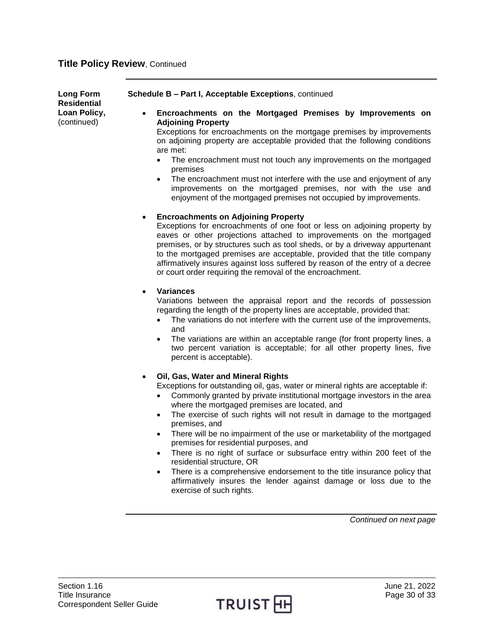| <b>Long Form</b><br><b>Residential</b> | Schedule B - Part I, Acceptable Exceptions, continued                                                                                                                                                                                                                                                                                                                                                                                                                                                                                                                                                                                                                                                                                                                                                        |
|----------------------------------------|--------------------------------------------------------------------------------------------------------------------------------------------------------------------------------------------------------------------------------------------------------------------------------------------------------------------------------------------------------------------------------------------------------------------------------------------------------------------------------------------------------------------------------------------------------------------------------------------------------------------------------------------------------------------------------------------------------------------------------------------------------------------------------------------------------------|
| Loan Policy,<br>(continued)            | Encroachments on the Mortgaged Premises by Improvements on<br>$\bullet$<br><b>Adjoining Property</b><br>Exceptions for encroachments on the mortgage premises by improvements<br>on adjoining property are acceptable provided that the following conditions<br>are met:<br>The encroachment must not touch any improvements on the mortgaged<br>$\bullet$<br>premises<br>The encroachment must not interfere with the use and enjoyment of any<br>$\bullet$<br>improvements on the mortgaged premises, nor with the use and<br>enjoyment of the mortgaged premises not occupied by improvements.                                                                                                                                                                                                            |
|                                        | <b>Encroachments on Adjoining Property</b><br>$\bullet$<br>Exceptions for encroachments of one foot or less on adjoining property by<br>eaves or other projections attached to improvements on the mortgaged<br>premises, or by structures such as tool sheds, or by a driveway appurtenant<br>to the mortgaged premises are acceptable, provided that the title company<br>affirmatively insures against loss suffered by reason of the entry of a decree<br>or court order requiring the removal of the encroachment.                                                                                                                                                                                                                                                                                      |
|                                        | <b>Variances</b><br>$\bullet$<br>Variations between the appraisal report and the records of possession<br>regarding the length of the property lines are acceptable, provided that:<br>The variations do not interfere with the current use of the improvements,<br>$\bullet$<br>and<br>The variations are within an acceptable range (for front property lines, a<br>$\bullet$<br>two percent variation is acceptable; for all other property lines, five<br>percent is acceptable).                                                                                                                                                                                                                                                                                                                        |
|                                        | Oil, Gas, Water and Mineral Rights<br>$\bullet$<br>Exceptions for outstanding oil, gas, water or mineral rights are acceptable if:<br>Commonly granted by private institutional mortgage investors in the area<br>$\bullet$<br>where the mortgaged premises are located, and<br>The exercise of such rights will not result in damage to the mortgaged<br>$\bullet$<br>premises, and<br>There will be no impairment of the use or marketability of the mortgaged<br>premises for residential purposes, and<br>There is no right of surface or subsurface entry within 200 feet of the<br>residential structure, OR<br>There is a comprehensive endorsement to the title insurance policy that<br>$\bullet$<br>affirmatively insures the lender against damage or loss due to the<br>exercise of such rights. |
|                                        | Continued on next page                                                                                                                                                                                                                                                                                                                                                                                                                                                                                                                                                                                                                                                                                                                                                                                       |

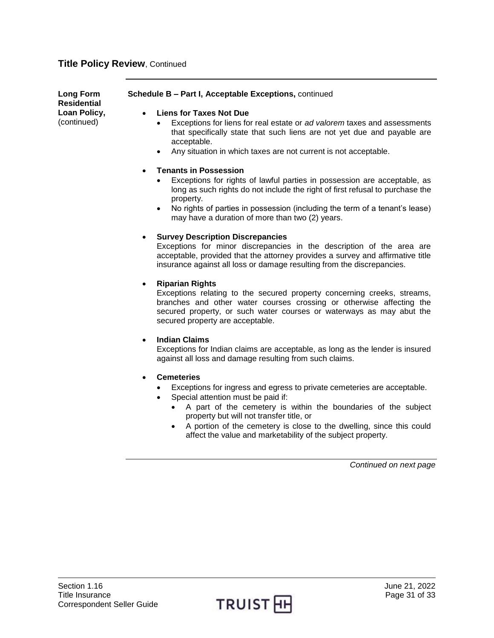| Long Form<br>Residential    | <b>Schedule B – Part I, Acceptable Exceptions, continued</b>                                                                                                                          |
|-----------------------------|---------------------------------------------------------------------------------------------------------------------------------------------------------------------------------------|
| Loan Policy,<br>(continued) | <b>Liens for Taxes Not Due</b><br>Exceptions for liens for real estate or ad valorem taxes and assessments<br>that specifically state that such liens are not yet due and payable are |

acceptable. Any situation in which taxes are not current is not acceptable.

## **Tenants in Possession**

- Exceptions for rights of lawful parties in possession are acceptable, as long as such rights do not include the right of first refusal to purchase the property.
- No rights of parties in possession (including the term of a tenant's lease) may have a duration of more than two (2) years.

#### **Survey Description Discrepancies**

Exceptions for minor discrepancies in the description of the area are acceptable, provided that the attorney provides a survey and affirmative title insurance against all loss or damage resulting from the discrepancies.

## **Riparian Rights**

Exceptions relating to the secured property concerning creeks, streams, branches and other water courses crossing or otherwise affecting the secured property, or such water courses or waterways as may abut the secured property are acceptable.

#### **Indian Claims**

Exceptions for Indian claims are acceptable, as long as the lender is insured against all loss and damage resulting from such claims.

- **Cemeteries**
	- Exceptions for ingress and egress to private cemeteries are acceptable.
		- Special attention must be paid if:
			- A part of the cemetery is within the boundaries of the subject property but will not transfer title, or
			- A portion of the cemetery is close to the dwelling, since this could affect the value and marketability of the subject property.

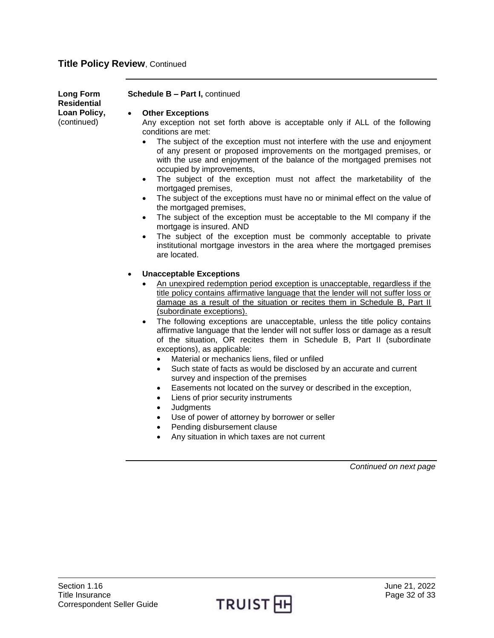| Long Form<br><b>Residential</b> | Schedule B - Part I, continued                                                                                                                                                                                                                                                      |
|---------------------------------|-------------------------------------------------------------------------------------------------------------------------------------------------------------------------------------------------------------------------------------------------------------------------------------|
| Loan Policy,<br>(continued)     | <b>Other Exceptions</b><br>$\bullet$<br>Any exception not set forth above is acceptable only if ALL of the following<br>conditions are met:                                                                                                                                         |
|                                 | The subject of the exception must not interfere with the use and enjoyment<br>of any present or proposed improvements on the mortgaged premises, or<br>with the use and enjoyment of the balance of the mortgaged premises not<br>occupied by improvements,                         |
|                                 | The subject of the exception must not affect the marketability of the<br>$\bullet$<br>mortgaged premises,<br>The subject of the exceptions must have no or minimal effect on the value of<br>$\bullet$                                                                              |
|                                 | the mortgaged premises,<br>The subject of the exception must be acceptable to the MI company if the<br>$\bullet$                                                                                                                                                                    |
|                                 | mortgage is insured. AND<br>The subject of the exception must be commonly acceptable to private<br>institutional mortgage investors in the area where the mortgaged premises<br>are located.                                                                                        |
|                                 | <b>Unacceptable Exceptions</b><br>$\bullet$                                                                                                                                                                                                                                         |
|                                 | An unexpired redemption period exception is unacceptable, regardless if the<br>title policy contains affirmative language that the lender will not suffer loss or<br>damage as a result of the situation or recites them in Schedule B, Part II<br>(subordinate exceptions).        |
|                                 | The following exceptions are unacceptable, unless the title policy contains<br>$\bullet$<br>affirmative language that the lender will not suffer loss or damage as a result<br>of the situation, OR recites them in Schedule B, Part II (subordinate<br>exceptions), as applicable: |
|                                 | Material or mechanics liens, filed or unfiled<br>Such state of facts as would be disclosed by an accurate and current<br>$\bullet$<br>survey and inspection of the premises                                                                                                         |
|                                 | Easements not located on the survey or described in the exception,<br>$\bullet$<br>Liens of prior security instruments<br>$\bullet$<br>Judgments<br>٠                                                                                                                               |
|                                 | Use of power of attorney by borrower or seller<br>Pending disbursement clause<br>$\bullet$<br>Any situation in which taxes are not current                                                                                                                                          |
|                                 | $\bullet$                                                                                                                                                                                                                                                                           |